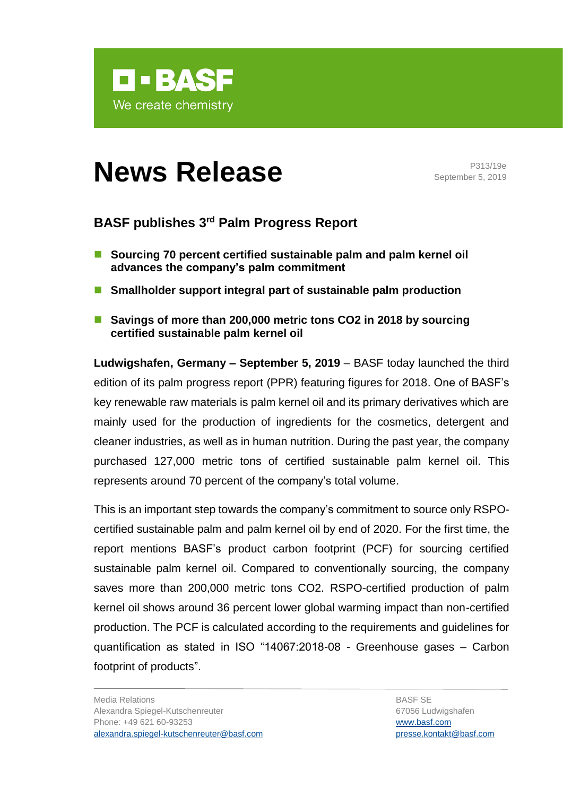

# **News Release P313/19e**

September 5, 2019

## **BASF publishes 3rd Palm Progress Report**

- Sourcing 70 percent certified sustainable palm and palm kernel oil **advances the company's palm commitment**
- Smallholder support integral part of sustainable palm production
- Savings of more than 200,000 metric tons CO2 in 2018 by sourcing **certified sustainable palm kernel oil**

**Ludwigshafen, Germany – September 5, 2019** – BASF today launched the third edition of its palm progress report (PPR) featuring figures for 2018. One of BASF's key renewable raw materials is palm kernel oil and its primary derivatives which are mainly used for the production of ingredients for the cosmetics, detergent and cleaner industries, as well as in human nutrition. During the past year, the company purchased 127,000 metric tons of certified sustainable palm kernel oil. This represents around 70 percent of the company's total volume.

This is an important step towards the company's commitment to source only RSPOcertified sustainable palm and palm kernel oil by end of 2020. For the first time, the report mentions BASF's product carbon footprint (PCF) for sourcing certified sustainable palm kernel oil. Compared to conventionally sourcing, the company saves more than 200,000 metric tons CO2. RSPO-certified production of palm kernel oil shows around 36 percent lower global warming impact than non-certified production. The PCF is calculated according to the requirements and guidelines for quantification as stated in ISO "14067:2018-08 - Greenhouse gases – Carbon footprint of products".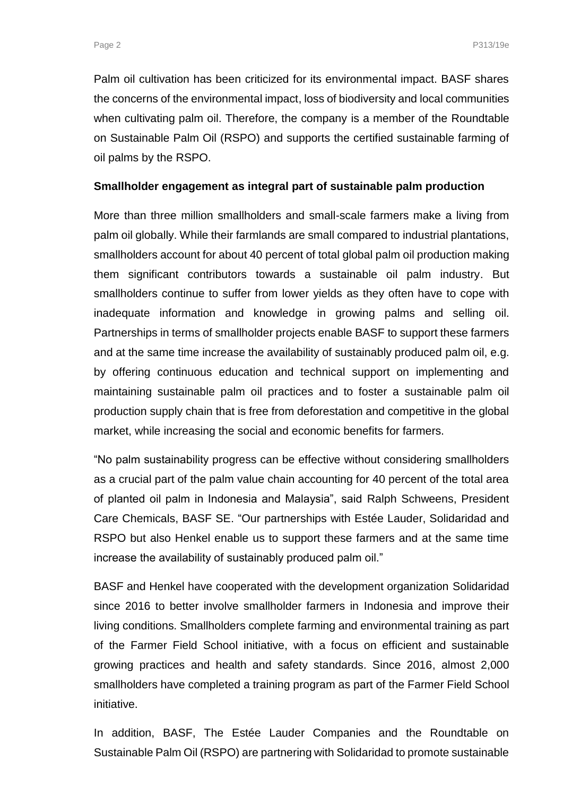Palm oil cultivation has been criticized for its environmental impact. BASF shares the concerns of the environmental impact, loss of biodiversity and local communities when cultivating palm oil. Therefore, the company is a member of the Roundtable on Sustainable Palm Oil (RSPO) and supports the certified sustainable farming of oil palms by the RSPO.

#### **Smallholder engagement as integral part of sustainable palm production**

More than three million smallholders and small-scale farmers make a living from palm oil globally. While their farmlands are small compared to industrial plantations, smallholders account for about 40 percent of total global palm oil production making them significant contributors towards a sustainable oil palm industry. But smallholders continue to suffer from lower yields as they often have to cope with inadequate information and knowledge in growing palms and selling oil. Partnerships in terms of smallholder projects enable BASF to support these farmers and at the same time increase the availability of sustainably produced palm oil, e.g. by offering continuous education and technical support on implementing and maintaining sustainable palm oil practices and to foster a sustainable palm oil production supply chain that is free from deforestation and competitive in the global market, while increasing the social and economic benefits for farmers.

"No palm sustainability progress can be effective without considering smallholders as a crucial part of the palm value chain accounting for 40 percent of the total area of planted oil palm in Indonesia and Malaysia", said Ralph Schweens, President Care Chemicals, BASF SE. "Our partnerships with Estée Lauder, Solidaridad and RSPO but also Henkel enable us to support these farmers and at the same time increase the availability of sustainably produced palm oil."

BASF and Henkel have cooperated with the development organization Solidaridad since 2016 to better involve smallholder farmers in Indonesia and improve their living conditions. Smallholders complete farming and environmental training as part of the Farmer Field School initiative, with a focus on efficient and sustainable growing practices and health and safety standards. Since 2016, almost 2,000 smallholders have completed a training program as part of the Farmer Field School initiative.

In addition, BASF, The Estée Lauder Companies and the Roundtable on Sustainable Palm Oil (RSPO) are partnering with Solidaridad to promote sustainable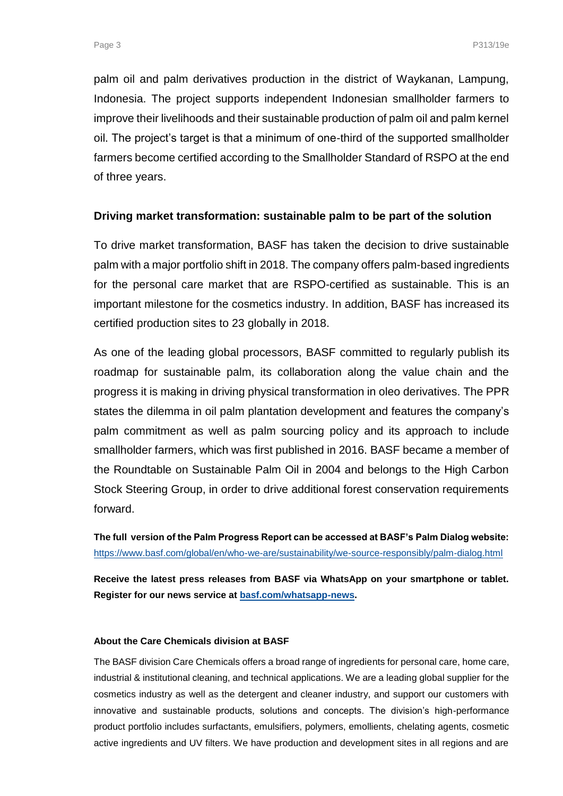palm oil and palm derivatives production in the district of Waykanan, Lampung, Indonesia. The project supports independent Indonesian smallholder farmers to improve their livelihoods and their sustainable production of palm oil and palm kernel oil. The project's target is that a minimum of one-third of the supported smallholder farmers become certified according to the Smallholder Standard of RSPO at the end of three years.

#### **Driving market transformation: sustainable palm to be part of the solution**

To drive market transformation, BASF has taken the decision to drive sustainable palm with a major portfolio shift in 2018. The company offers palm-based ingredients for the personal care market that are RSPO-certified as sustainable. This is an important milestone for the cosmetics industry. In addition, BASF has increased its certified production sites to 23 globally in 2018.

As one of the leading global processors, BASF committed to regularly publish its roadmap for sustainable palm, its collaboration along the value chain and the progress it is making in driving physical transformation in oleo derivatives. The PPR states the dilemma in oil palm plantation development and features the company's palm commitment as well as palm sourcing policy and its approach to include smallholder farmers, which was first published in 2016. BASF became a member of the Roundtable on Sustainable Palm Oil in 2004 and belongs to the High Carbon Stock Steering Group, in order to drive additional forest conservation requirements forward.

**The full version of the Palm Progress Report can be accessed at BASF's Palm Dialog website:**  <https://www.basf.com/global/en/who-we-are/sustainability/we-source-responsibly/palm-dialog.html>

**Receive the latest press releases from BASF via WhatsApp on your smartphone or tablet. Register for our news service at [basf.com/whatsapp-news.](http://www.basf.com/whatsapp-news)**

### **About the Care Chemicals division at BASF**

The BASF division Care Chemicals offers a broad range of ingredients for personal care, home care, industrial & institutional cleaning, and technical applications. We are a leading global supplier for the cosmetics industry as well as the detergent and cleaner industry, and support our customers with innovative and sustainable products, solutions and concepts. The division's high-performance product portfolio includes surfactants, emulsifiers, polymers, emollients, chelating agents, cosmetic active ingredients and UV filters. We have production and development sites in all regions and are